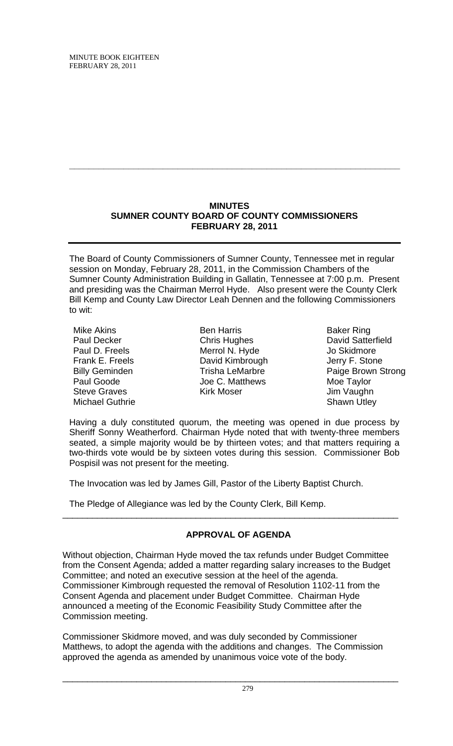## **MINUTES SUMNER COUNTY BOARD OF COUNTY COMMISSIONERS FEBRUARY 28, 2011**

**\_\_\_\_\_\_\_\_\_\_\_\_\_\_\_\_\_\_\_\_\_\_\_\_\_\_\_\_\_\_\_\_\_\_\_\_\_\_\_\_\_\_\_\_\_\_\_\_\_\_\_\_\_\_\_\_\_\_\_\_\_\_\_\_\_\_\_**

The Board of County Commissioners of Sumner County, Tennessee met in regular session on Monday, February 28, 2011, in the Commission Chambers of the Sumner County Administration Building in Gallatin, Tennessee at 7:00 p.m. Present and presiding was the Chairman Merrol Hyde. Also present were the County Clerk Bill Kemp and County Law Director Leah Dennen and the following Commissioners to wit:

Mike Akins Paul Decker Paul D. Freels Frank E. Freels Billy Geminden Paul Goode Steve Graves Michael Guthrie

Ben Harris Chris Hughes Merrol N. Hyde David Kimbrough Trisha LeMarbre Joe C. Matthews Kirk Moser

Baker Ring David Satterfield Jo Skidmore Jerry F. Stone Paige Brown Strong Moe Taylor Jim Vaughn Shawn Utley

Having a duly constituted quorum, the meeting was opened in due process by Sheriff Sonny Weatherford. Chairman Hyde noted that with twenty-three members seated, a simple majority would be by thirteen votes; and that matters requiring a two-thirds vote would be by sixteen votes during this session. Commissioner Bob Pospisil was not present for the meeting.

The Invocation was led by James Gill, Pastor of the Liberty Baptist Church.

The Pledge of Allegiance was led by the County Clerk, Bill Kemp.

# **APPROVAL OF AGENDA**

\_\_\_\_\_\_\_\_\_\_\_\_\_\_\_\_\_\_\_\_\_\_\_\_\_\_\_\_\_\_\_\_\_\_\_\_\_\_\_\_\_\_\_\_\_\_\_\_\_\_\_\_\_\_\_\_\_\_\_\_\_\_\_\_\_\_\_\_

Without objection, Chairman Hyde moved the tax refunds under Budget Committee from the Consent Agenda; added a matter regarding salary increases to the Budget Committee; and noted an executive session at the heel of the agenda. Commissioner Kimbrough requested the removal of Resolution 1102-11 from the Consent Agenda and placement under Budget Committee. Chairman Hyde announced a meeting of the Economic Feasibility Study Committee after the Commission meeting.

Commissioner Skidmore moved, and was duly seconded by Commissioner Matthews, to adopt the agenda with the additions and changes. The Commission approved the agenda as amended by unanimous voice vote of the body.

\_\_\_\_\_\_\_\_\_\_\_\_\_\_\_\_\_\_\_\_\_\_\_\_\_\_\_\_\_\_\_\_\_\_\_\_\_\_\_\_\_\_\_\_\_\_\_\_\_\_\_\_\_\_\_\_\_\_\_\_\_\_\_\_\_\_\_\_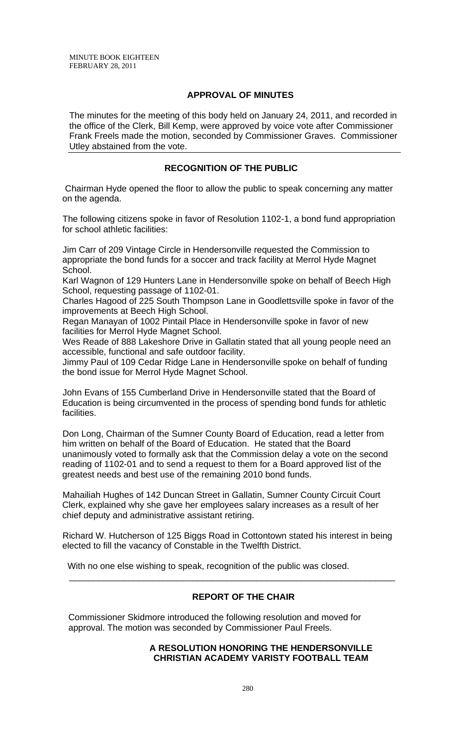## **APPROVAL OF MINUTES**

The minutes for the meeting of this body held on January 24, 2011, and recorded in the office of the Clerk, Bill Kemp, were approved by voice vote after Commissioner Frank Freels made the motion, seconded by Commissioner Graves. Commissioner Utley abstained from the vote.

# **RECOGNITION OF THE PUBLIC**

 Chairman Hyde opened the floor to allow the public to speak concerning any matter on the agenda.

The following citizens spoke in favor of Resolution 1102-1, a bond fund appropriation for school athletic facilities:

Jim Carr of 209 Vintage Circle in Hendersonville requested the Commission to appropriate the bond funds for a soccer and track facility at Merrol Hyde Magnet School.

Karl Wagnon of 129 Hunters Lane in Hendersonville spoke on behalf of Beech High School, requesting passage of 1102-01.

Charles Hagood of 225 South Thompson Lane in Goodlettsville spoke in favor of the improvements at Beech High School.

Regan Manayan of 1002 Pintail Place in Hendersonville spoke in favor of new facilities for Merrol Hyde Magnet School.

Wes Reade of 888 Lakeshore Drive in Gallatin stated that all young people need an accessible, functional and safe outdoor facility.

Jimmy Paul of 109 Cedar Ridge Lane in Hendersonville spoke on behalf of funding the bond issue for Merrol Hyde Magnet School.

John Evans of 155 Cumberland Drive in Hendersonville stated that the Board of Education is being circumvented in the process of spending bond funds for athletic facilities.

Don Long, Chairman of the Sumner County Board of Education, read a letter from him written on behalf of the Board of Education. He stated that the Board unanimously voted to formally ask that the Commission delay a vote on the second reading of 1102-01 and to send a request to them for a Board approved list of the greatest needs and best use of the remaining 2010 bond funds.

Mahailiah Hughes of 142 Duncan Street in Gallatin, Sumner County Circuit Court Clerk, explained why she gave her employees salary increases as a result of her chief deputy and administrative assistant retiring.

Richard W. Hutcherson of 125 Biggs Road in Cottontown stated his interest in being elected to fill the vacancy of Constable in the Twelfth District.

\_\_\_\_\_\_\_\_\_\_\_\_\_\_\_\_\_\_\_\_\_\_\_\_\_\_\_\_\_\_\_\_\_\_\_\_\_\_\_\_\_\_\_\_\_\_\_\_\_\_\_\_\_\_\_\_\_\_\_\_\_\_\_\_\_\_

With no one else wishing to speak, recognition of the public was closed.

# **REPORT OF THE CHAIR**

 Commissioner Skidmore introduced the following resolution and moved for approval. The motion was seconded by Commissioner Paul Freels.

## **A RESOLUTION HONORING THE HENDERSONVILLE CHRISTIAN ACADEMY VARISTY FOOTBALL TEAM**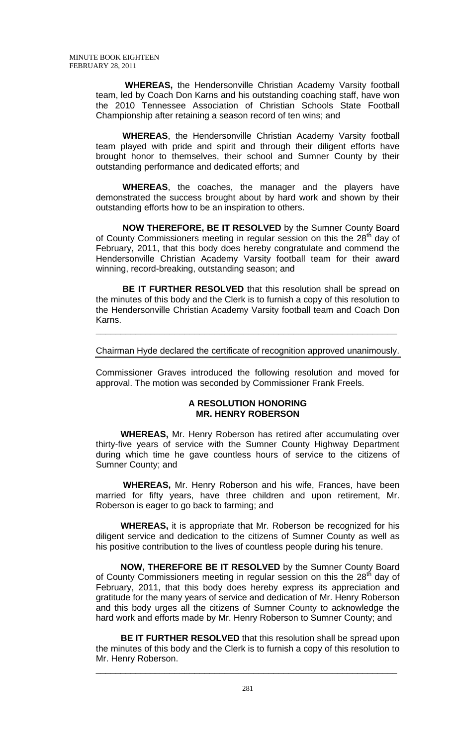**WHEREAS,** the Hendersonville Christian Academy Varsity football team, led by Coach Don Karns and his outstanding coaching staff, have won the 2010 Tennessee Association of Christian Schools State Football Championship after retaining a season record of ten wins; and

**WHEREAS**, the Hendersonville Christian Academy Varsity football team played with pride and spirit and through their diligent efforts have brought honor to themselves, their school and Sumner County by their outstanding performance and dedicated efforts; and

**WHEREAS**, the coaches, the manager and the players have demonstrated the success brought about by hard work and shown by their outstanding efforts how to be an inspiration to others.

**NOW THEREFORE, BE IT RESOLVED** by the Sumner County Board of County Commissioners meeting in regular session on this the 28<sup>th</sup> day of February, 2011, that this body does hereby congratulate and commend the Hendersonville Christian Academy Varsity football team for their award winning, record-breaking, outstanding season; and

**BE IT FURTHER RESOLVED** that this resolution shall be spread on the minutes of this body and the Clerk is to furnish a copy of this resolution to the Hendersonville Christian Academy Varsity football team and Coach Don Karns.

## Chairman Hyde declared the certificate of recognition approved unanimously.

**\_\_\_\_\_\_\_\_\_\_\_\_\_\_\_\_\_\_\_\_\_\_\_\_\_\_\_\_\_\_\_\_\_\_\_\_\_\_\_\_\_\_\_\_\_\_\_\_\_\_\_\_\_\_\_\_\_\_\_\_\_**

Commissioner Graves introduced the following resolution and moved for approval. The motion was seconded by Commissioner Frank Freels.

#### **A RESOLUTION HONORING MR. HENRY ROBERSON**

 **WHEREAS,** Mr. Henry Roberson has retired after accumulating over thirty-five years of service with the Sumner County Highway Department during which time he gave countless hours of service to the citizens of Sumner County; and

 **WHEREAS,** Mr. Henry Roberson and his wife, Frances, have been married for fifty years, have three children and upon retirement, Mr. Roberson is eager to go back to farming; and

 **WHEREAS,** it is appropriate that Mr. Roberson be recognized for his diligent service and dedication to the citizens of Sumner County as well as his positive contribution to the lives of countless people during his tenure.

 **NOW, THEREFORE BE IT RESOLVED** by the Sumner County Board of County Commissioners meeting in regular session on this the  $28<sup>th</sup>$  day of February, 2011, that this body does hereby express its appreciation and gratitude for the many years of service and dedication of Mr. Henry Roberson and this body urges all the citizens of Sumner County to acknowledge the hard work and efforts made by Mr. Henry Roberson to Sumner County; and

 **BE IT FURTHER RESOLVED** that this resolution shall be spread upon the minutes of this body and the Clerk is to furnish a copy of this resolution to Mr. Henry Roberson.

\_\_\_\_\_\_\_\_\_\_\_\_\_\_\_\_\_\_\_\_\_\_\_\_\_\_\_\_\_\_\_\_\_\_\_\_\_\_\_\_\_\_\_\_\_\_\_\_\_\_\_\_\_\_\_\_\_\_\_\_\_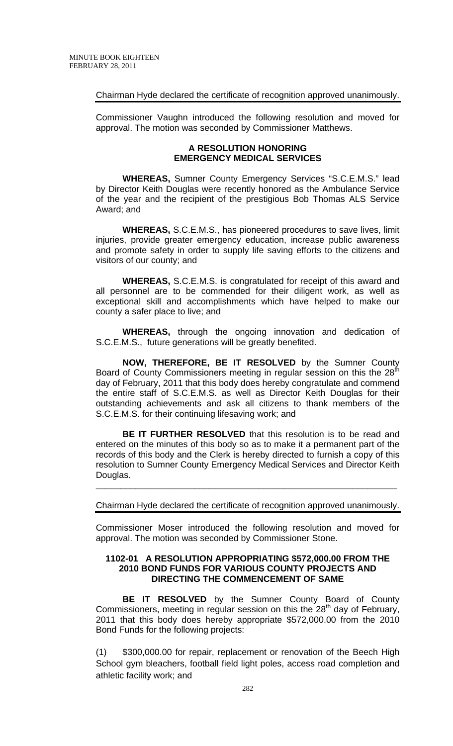# Chairman Hyde declared the certificate of recognition approved unanimously.

Commissioner Vaughn introduced the following resolution and moved for approval. The motion was seconded by Commissioner Matthews.

## **A RESOLUTION HONORING EMERGENCY MEDICAL SERVICES**

**WHEREAS,** Sumner County Emergency Services "S.C.E.M.S." lead by Director Keith Douglas were recently honored as the Ambulance Service of the year and the recipient of the prestigious Bob Thomas ALS Service Award; and

**WHEREAS,** S.C.E.M.S., has pioneered procedures to save lives, limit injuries, provide greater emergency education, increase public awareness and promote safety in order to supply life saving efforts to the citizens and visitors of our county; and

**WHEREAS,** S.C.E.M.S. is congratulated for receipt of this award and all personnel are to be commended for their diligent work, as well as exceptional skill and accomplishments which have helped to make our county a safer place to live; and

**WHEREAS,** through the ongoing innovation and dedication of S.C.E.M.S., future generations will be greatly benefited.

**NOW, THEREFORE, BE IT RESOLVED** by the Sumner County Board of County Commissioners meeting in regular session on this the 28<sup>th</sup> day of February, 2011 that this body does hereby congratulate and commend the entire staff of S.C.E.M.S. as well as Director Keith Douglas for their outstanding achievements and ask all citizens to thank members of the S.C.E.M.S. for their continuing lifesaving work; and

**BE IT FURTHER RESOLVED** that this resolution is to be read and entered on the minutes of this body so as to make it a permanent part of the records of this body and the Clerk is hereby directed to furnish a copy of this resolution to Sumner County Emergency Medical Services and Director Keith Douglas.

## Chairman Hyde declared the certificate of recognition approved unanimously.

**\_\_\_\_\_\_\_\_\_\_\_\_\_\_\_\_\_\_\_\_\_\_\_\_\_\_\_\_\_\_\_\_\_\_\_\_\_\_\_\_\_\_\_\_\_\_\_\_\_\_\_\_\_\_\_\_\_\_\_\_\_**

Commissioner Moser introduced the following resolution and moved for approval. The motion was seconded by Commissioner Stone.

#### **1102-01 A RESOLUTION APPROPRIATING \$572,000.00 FROM THE 2010 BOND FUNDS FOR VARIOUS COUNTY PROJECTS AND DIRECTING THE COMMENCEMENT OF SAME**

 **BE IT RESOLVED** by the Sumner County Board of County Commissioners, meeting in regular session on this the  $28<sup>th</sup>$  day of February, 2011 that this body does hereby appropriate \$572,000.00 from the 2010 Bond Funds for the following projects:

(1) \$300,000.00 for repair, replacement or renovation of the Beech High School gym bleachers, football field light poles, access road completion and athletic facility work; and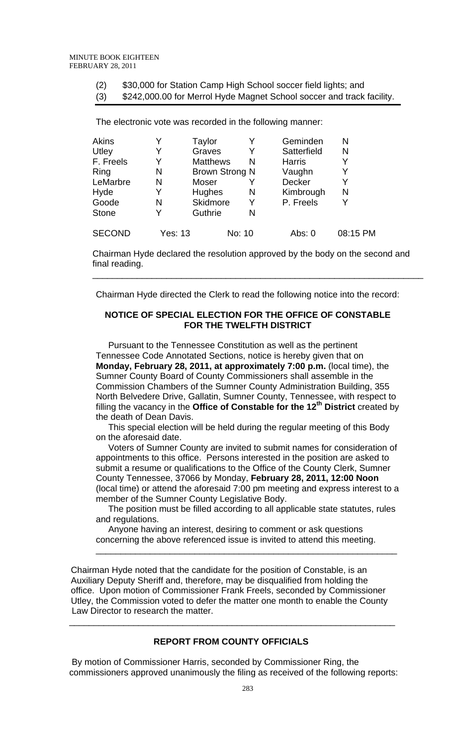(2) \$30,000 for Station Camp High School soccer field lights; and

(3) \$242,000.00 for Merrol Hyde Magnet School soccer and track facility.

The electronic vote was recorded in the following manner:

| <b>Akins</b>  |         | Taylor                |        | Geminden      | N        |
|---------------|---------|-----------------------|--------|---------------|----------|
| Utley         |         | Graves                |        | Satterfield   | N        |
| F. Freels     |         | <b>Matthews</b>       | N      | <b>Harris</b> | Y        |
| Ring          | N       | <b>Brown Strong N</b> |        | Vaughn        | Y        |
| LeMarbre      | N       | Moser                 |        | Decker        | Y        |
| Hyde          |         | Hughes                | N      | Kimbrough     | N        |
| Goode         | N       | <b>Skidmore</b>       | Y      | P. Freels     | Y        |
| <b>Stone</b>  |         | Guthrie               | N      |               |          |
| <b>SECOND</b> | Yes: 13 |                       | No: 10 | Abs: 0        | 08:15 PM |

Chairman Hyde declared the resolution approved by the body on the second and final reading.

\_\_\_\_\_\_\_\_\_\_\_\_\_\_\_\_\_\_\_\_\_\_\_\_\_\_\_\_\_\_\_\_\_\_\_\_\_\_\_\_\_\_\_\_\_\_\_\_\_\_\_\_\_\_\_\_\_\_\_\_\_\_\_\_\_\_\_

Chairman Hyde directed the Clerk to read the following notice into the record:

# **NOTICE OF SPECIAL ELECTION FOR THE OFFICE OF CONSTABLE FOR THE TWELFTH DISTRICT**

 Pursuant to the Tennessee Constitution as well as the pertinent Tennessee Code Annotated Sections, notice is hereby given that on **Monday, February 28, 2011, at approximately 7:00 p.m.** (local time), the Sumner County Board of County Commissioners shall assemble in the Commission Chambers of the Sumner County Administration Building, 355 North Belvedere Drive, Gallatin, Sumner County, Tennessee, with respect to filling the vacancy in the **Office of Constable for the 12th District** created by the death of Dean Davis.

 This special election will be held during the regular meeting of this Body on the aforesaid date.

 Voters of Sumner County are invited to submit names for consideration of appointments to this office. Persons interested in the position are asked to submit a resume or qualifications to the Office of the County Clerk, Sumner County Tennessee, 37066 by Monday, **February 28, 2011, 12:00 Noon** (local time) or attend the aforesaid 7:00 pm meeting and express interest to a member of the Sumner County Legislative Body.

 The position must be filled according to all applicable state statutes, rules and regulations.

\_\_\_\_\_\_\_\_\_\_\_\_\_\_\_\_\_\_\_\_\_\_\_\_\_\_\_\_\_\_\_\_\_\_\_\_\_\_\_\_\_\_\_\_\_\_\_\_\_\_\_\_\_\_\_\_\_\_\_\_\_

 Anyone having an interest, desiring to comment or ask questions concerning the above referenced issue is invited to attend this meeting.

 Chairman Hyde noted that the candidate for the position of Constable, is an Auxiliary Deputy Sheriff and, therefore, may be disqualified from holding the office. Upon motion of Commissioner Frank Freels, seconded by Commissioner Utley, the Commission voted to defer the matter one month to enable the County Law Director to research the matter.

# **REPORT FROM COUNTY OFFICIALS**

\_\_\_\_\_\_\_\_\_\_\_\_\_\_\_\_\_\_\_\_\_\_\_\_\_\_\_\_\_\_\_\_\_\_\_\_\_\_\_\_\_\_\_\_\_\_\_\_\_\_\_\_\_\_\_\_\_\_\_\_\_\_\_\_\_\_

 By motion of Commissioner Harris, seconded by Commissioner Ring, the commissioners approved unanimously the filing as received of the following reports: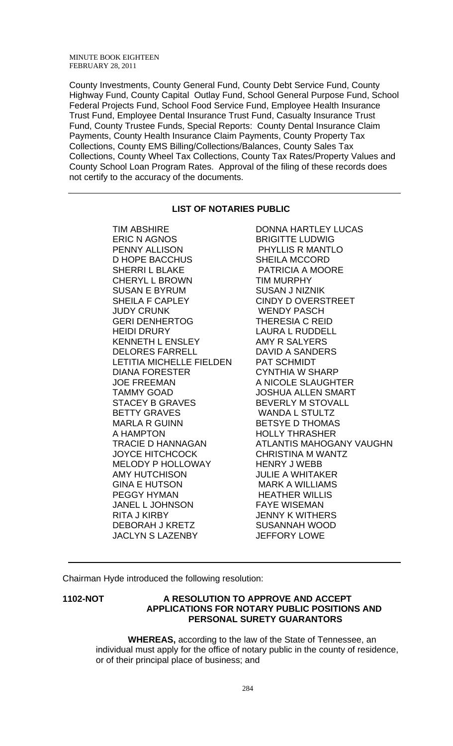County Investments, County General Fund, County Debt Service Fund, County Highway Fund, County Capital Outlay Fund, School General Purpose Fund, School Federal Projects Fund, School Food Service Fund, Employee Health Insurance Trust Fund, Employee Dental Insurance Trust Fund, Casualty Insurance Trust Fund, County Trustee Funds, Special Reports: County Dental Insurance Claim Payments, County Health Insurance Claim Payments, County Property Tax Collections, County EMS Billing/Collections/Balances, County Sales Tax Collections, County Wheel Tax Collections, County Tax Rates/Property Values and County School Loan Program Rates. Approval of the filing of these records does not certify to the accuracy of the documents.

## **LIST OF NOTARIES PUBLIC**

ERIC N AGNOS BRIGITTE LUDWIG PENNY ALLISON PHYLLIS R MANTLO D HOPE BACCHUS SHEILA MCCORD SHERRI L BLAKE PATRICIA A MOORE CHERYL L BROWN TIM MURPHY SUSAN E BYRUM SUSAN J NIZNIK SHEILA F CAPLEY CINDY D OVERSTREET JUDY CRUNK WENDY PASCH GERI DENHERTOG THERESIA C REID HEIDI DRURY LAURA L RUDDELL KENNETH L ENSLEY AMY R SALYERS DELORES FARRELL DAVID A SANDERS LETITIA MICHELLE FIELDEN PAT SCHMIDT DIANA FORESTER CYNTHIA W SHARP JOE FREEMAN A NICOLE SLAUGHTER TAMMY GOAD JOSHUA ALLEN SMART STACEY B GRAVES BEVERLY M STOVALL BETTY GRAVES WANDA L STULTZ MARLA R GUINN BETSYE D THOMAS A HAMPTON HOLLY THRASHER JOYCE HITCHCOCK CHRISTINA M WANTZ MELODY P HOLLOWAY HENRY J WEBB AMY HUTCHISON JULIE A WHITAKER GINA E HUTSON MARK A WILLIAMS PEGGY HYMAN HEATHER WILLIS JANEL L JOHNSON FAYE WISEMAN RITA J KIRBY JENNY K WITHERS DEBORAH J KRETZ SUSANNAH WOOD

TIM ABSHIRE DONNA HARTLEY LUCAS TRACIE D HANNAGAN ATLANTIS MAHOGANY VAUGHN JACLYN S LAZENBY JEFFORY LOWE

Chairman Hyde introduced the following resolution:

## **1102-NOT A RESOLUTION TO APPROVE AND ACCEPT APPLICATIONS FOR NOTARY PUBLIC POSITIONS AND PERSONAL SURETY GUARANTORS**

 **WHEREAS,** according to the law of the State of Tennessee, an individual must apply for the office of notary public in the county of residence, or of their principal place of business; and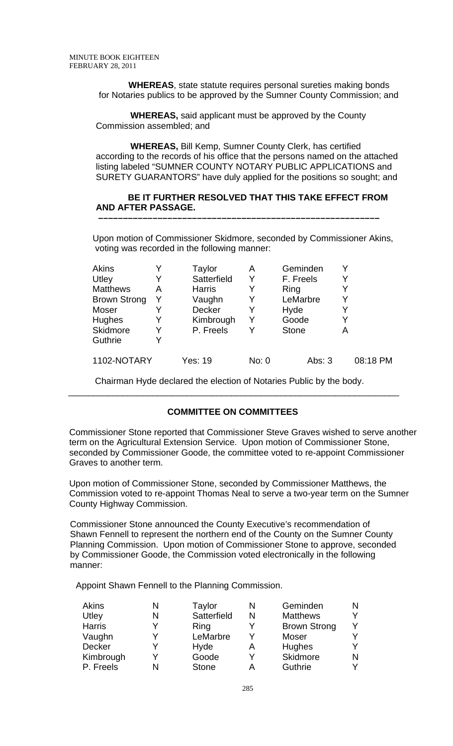**WHEREAS**, state statute requires personal sureties making bonds for Notaries publics to be approved by the Sumner County Commission; and

 **WHEREAS,** said applicant must be approved by the County Commission assembled; and

 **WHEREAS,** Bill Kemp, Sumner County Clerk, has certified according to the records of his office that the persons named on the attached listing labeled "SUMNER COUNTY NOTARY PUBLIC APPLICATIONS and SURETY GUARANTORS" have duly applied for the positions so sought; and

# **BE IT FURTHER RESOLVED THAT THIS TAKE EFFECT FROM AND AFTER PASSAGE.**

 **–––––––––––––––––––––––––––––––––––––––––––––––––––––––––**

Upon motion of Commissioner Skidmore, seconded by Commissioner Akins, voting was recorded in the following manner:

| <b>Akins</b>        | Y | Taylor        | Α     | Geminden     |   |          |
|---------------------|---|---------------|-------|--------------|---|----------|
| Utley               |   | Satterfield   | Y     | F. Freels    |   |          |
| <b>Matthews</b>     | A | <b>Harris</b> | Y     | Ring         |   |          |
| <b>Brown Strong</b> | Y | Vaughn        | Y     | LeMarbre     | Y |          |
| Moser               |   | Decker        | Y     | Hyde         | Y |          |
| <b>Hughes</b>       | Y | Kimbrough     | Y     | Goode        | Y |          |
| <b>Skidmore</b>     | Y | P. Freels     |       | <b>Stone</b> | A |          |
| Guthrie             | Y |               |       |              |   |          |
| 1102-NOTARY         |   | Yes: 19       | No: 0 | Abs: 3       |   | 08:18 PM |

 Chairman Hyde declared the election of Notaries Public by the body.  $\overline{\phantom{a}}$  , and the contribution of the contribution of the contribution of the contribution of the contribution of the contribution of the contribution of the contribution of the contribution of the contribution of the

## **COMMITTEE ON COMMITTEES**

Commissioner Stone reported that Commissioner Steve Graves wished to serve another term on the Agricultural Extension Service. Upon motion of Commissioner Stone, seconded by Commissioner Goode, the committee voted to re-appoint Commissioner Graves to another term.

Upon motion of Commissioner Stone, seconded by Commissioner Matthews, the Commission voted to re-appoint Thomas Neal to serve a two-year term on the Sumner County Highway Commission.

 Commissioner Stone announced the County Executive's recommendation of Shawn Fennell to represent the northern end of the County on the Sumner County Planning Commission. Upon motion of Commissioner Stone to approve, seconded by Commissioner Goode, the Commission voted electronically in the following manner:

Appoint Shawn Fennell to the Planning Commission.

| <b>Akins</b>  | Taylor       | N | Geminden            |  |
|---------------|--------------|---|---------------------|--|
| Utley         | Satterfield  | N | <b>Matthews</b>     |  |
| <b>Harris</b> | Ring         |   | <b>Brown Strong</b> |  |
| Vaughn        | LeMarbre     | v | <b>Moser</b>        |  |
| <b>Decker</b> | Hyde         | Α | Hughes              |  |
| Kimbrough     | Goode        |   | Skidmore            |  |
| P. Freels     | <b>Stone</b> |   | Guthrie             |  |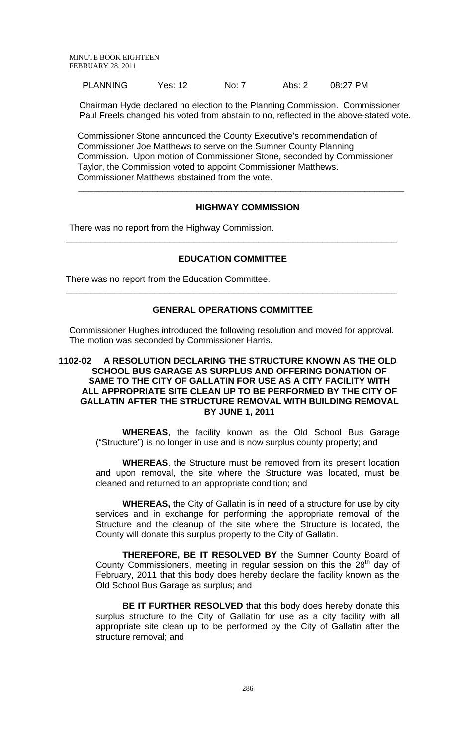| <b>PLANNING</b><br>No: 7<br>Yes: 12 | 08:27 PM<br>Abs: $2$ |
|-------------------------------------|----------------------|
|-------------------------------------|----------------------|

Chairman Hyde declared no election to the Planning Commission. Commissioner Paul Freels changed his voted from abstain to no, reflected in the above-stated vote.

 Commissioner Stone announced the County Executive's recommendation of Commissioner Joe Matthews to serve on the Sumner County Planning Commission. Upon motion of Commissioner Stone, seconded by Commissioner Taylor, the Commission voted to appoint Commissioner Matthews. Commissioner Matthews abstained from the vote.

#### **HIGHWAY COMMISSION**

 $\overline{\phantom{a}}$  , and the contribution of the contribution of the contribution of the contribution of the contribution of the contribution of the contribution of the contribution of the contribution of the contribution of the

There was no report from the Highway Commission.

#### **EDUCATION COMMITTEE**

**\_\_\_\_\_\_\_\_\_\_\_\_\_\_\_\_\_\_\_\_\_\_\_\_\_\_\_\_\_\_\_\_\_\_\_\_\_\_\_\_\_\_\_\_\_\_\_\_\_\_\_\_\_\_\_\_\_\_\_\_\_\_\_\_\_\_\_** 

There was no report from the Education Committee.

#### **GENERAL OPERATIONS COMMITTEE**

**\_\_\_\_\_\_\_\_\_\_\_\_\_\_\_\_\_\_\_\_\_\_\_\_\_\_\_\_\_\_\_\_\_\_\_\_\_\_\_\_\_\_\_\_\_\_\_\_\_\_\_\_\_\_\_\_\_\_\_\_\_\_\_\_\_\_\_** 

Commissioner Hughes introduced the following resolution and moved for approval. The motion was seconded by Commissioner Harris.

## **1102-02 A RESOLUTION DECLARING THE STRUCTURE KNOWN AS THE OLD SCHOOL BUS GARAGE AS SURPLUS AND OFFERING DONATION OF SAME TO THE CITY OF GALLATIN FOR USE AS A CITY FACILITY WITH ALL APPROPRIATE SITE CLEAN UP TO BE PERFORMED BY THE CITY OF GALLATIN AFTER THE STRUCTURE REMOVAL WITH BUILDING REMOVAL BY JUNE 1, 2011**

**WHEREAS**, the facility known as the Old School Bus Garage ("Structure") is no longer in use and is now surplus county property; and

**WHEREAS**, the Structure must be removed from its present location and upon removal, the site where the Structure was located, must be cleaned and returned to an appropriate condition; and

**WHEREAS,** the City of Gallatin is in need of a structure for use by city services and in exchange for performing the appropriate removal of the Structure and the cleanup of the site where the Structure is located, the County will donate this surplus property to the City of Gallatin.

**THEREFORE, BE IT RESOLVED BY** the Sumner County Board of County Commissioners, meeting in regular session on this the 28<sup>th</sup> day of February, 2011 that this body does hereby declare the facility known as the Old School Bus Garage as surplus; and

**BE IT FURTHER RESOLVED** that this body does hereby donate this surplus structure to the City of Gallatin for use as a city facility with all appropriate site clean up to be performed by the City of Gallatin after the structure removal; and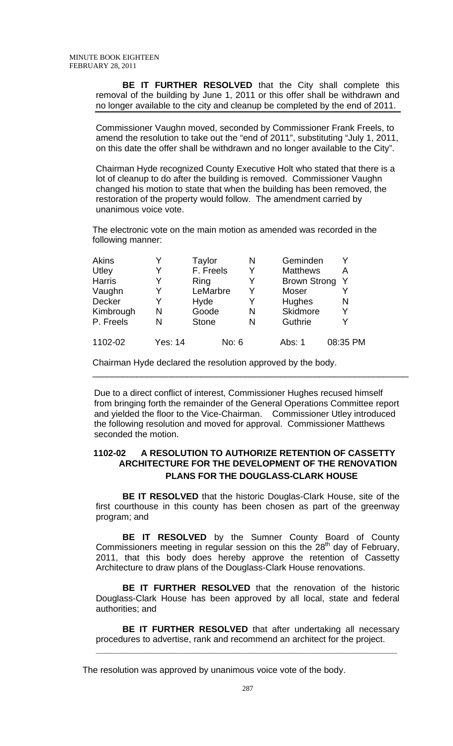**BE IT FURTHER RESOLVED** that the City shall complete this removal of the building by June 1, 2011 or this offer shall be withdrawn and no longer available to the city and cleanup be completed by the end of 2011.

Commissioner Vaughn moved, seconded by Commissioner Frank Freels, to amend the resolution to take out the "end of 2011", substituting "July 1, 2011, on this date the offer shall be withdrawn and no longer available to the City".

Chairman Hyde recognized County Executive Holt who stated that there is a lot of cleanup to do after the building is removed. Commissioner Vaughn changed his motion to state that when the building has been removed, the restoration of the property would follow. The amendment carried by unanimous voice vote.

The electronic vote on the main motion as amended was recorded in the following manner:

| <b>Akins</b>  |         | Taylor       | N | Geminden            |          |
|---------------|---------|--------------|---|---------------------|----------|
| Utley         |         | F. Freels    | Y | <b>Matthews</b>     | А        |
| <b>Harris</b> |         | Ring         |   | <b>Brown Strong</b> | Y        |
| Vaughn        | Y       | LeMarbre     | Y | Moser               |          |
| Decker        | Y       | Hyde         | Y | Hughes              | N        |
| Kimbrough     | N       | Goode        | N | Skidmore            | Y        |
| P. Freels     | N       | <b>Stone</b> | N | Guthrie             | Y        |
| 1102-02       | Yes: 14 | No: 6        |   | Abs: 1              | 08:35 PM |

Chairman Hyde declared the resolution approved by the body.

 Due to a direct conflict of interest, Commissioner Hughes recused himself from bringing forth the remainder of the General Operations Committee report and yielded the floor to the Vice-Chairman. Commissioner Utley introduced the following resolution and moved for approval. Commissioner Matthews seconded the motion.

\_\_\_\_\_\_\_\_\_\_\_\_\_\_\_\_\_\_\_\_\_\_\_\_\_\_\_\_\_\_\_\_\_\_\_\_\_\_\_\_\_\_\_\_\_\_\_\_\_\_\_\_\_\_\_\_\_\_\_\_\_\_\_\_

# **1102-02 A RESOLUTION TO AUTHORIZE RETENTION OF CASSETTY ARCHITECTURE FOR THE DEVELOPMENT OF THE RENOVATION PLANS FOR THE DOUGLASS-CLARK HOUSE**

 **BE IT RESOLVED** that the historic Douglas-Clark House, site of the first courthouse in this county has been chosen as part of the greenway program; and

**BE IT RESOLVED** by the Sumner County Board of County Commissioners meeting in regular session on this the 28<sup>th</sup> day of February, 2011, that this body does hereby approve the retention of Cassetty Architecture to draw plans of the Douglass-Clark House renovations.

**BE IT FURTHER RESOLVED** that the renovation of the historic Douglass-Clark House has been approved by all local, state and federal authorities; and

**BE IT FURTHER RESOLVED** that after undertaking all necessary procedures to advertise, rank and recommend an architect for the project.

**\_\_\_\_\_\_\_\_\_\_\_\_\_\_\_\_\_\_\_\_\_\_\_\_\_\_\_\_\_\_\_\_\_\_\_\_\_\_\_\_\_\_\_\_\_\_\_\_\_\_\_\_\_\_\_\_\_\_\_\_\_**

The resolution was approved by unanimous voice vote of the body.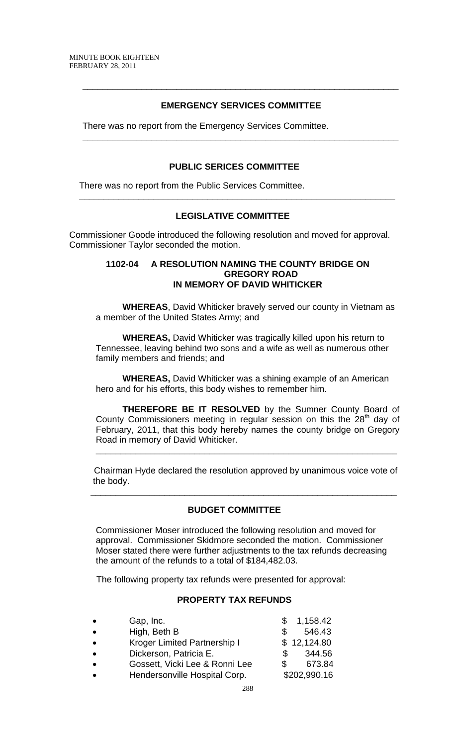# **EMERGENCY SERVICES COMMITTEE**

**\_\_\_\_\_\_\_\_\_\_\_\_\_\_\_\_\_\_\_\_\_\_\_\_\_\_\_\_\_\_\_\_\_\_\_\_\_\_\_\_\_\_\_\_\_\_\_\_\_\_\_\_\_\_\_\_\_\_\_\_\_\_\_\_** 

\_\_\_\_\_\_\_\_\_\_\_\_\_\_\_\_\_\_\_\_\_\_\_\_\_\_\_\_\_\_\_\_\_\_\_\_\_\_\_\_\_\_\_\_\_\_\_\_\_\_\_\_\_\_\_\_\_\_\_\_\_\_\_\_

There was no report from the Emergency Services Committee.

#### **PUBLIC SERICES COMMITTEE**

**\_\_\_\_\_\_\_\_\_\_\_\_\_\_\_\_\_\_\_\_\_\_\_\_\_\_\_\_\_\_\_\_\_\_\_\_\_\_\_\_\_\_\_\_\_\_\_\_\_\_\_\_\_\_\_\_\_\_\_\_\_\_\_\_** 

There was no report from the Public Services Committee.

## **LEGISLATIVE COMMITTEE**

Commissioner Goode introduced the following resolution and moved for approval. Commissioner Taylor seconded the motion.

#### **1102-04 A RESOLUTION NAMING THE COUNTY BRIDGE ON GREGORY ROAD IN MEMORY OF DAVID WHITICKER**

**WHEREAS**, David Whiticker bravely served our county in Vietnam as a member of the United States Army; and

 **WHEREAS,** David Whiticker was tragically killed upon his return to Tennessee, leaving behind two sons and a wife as well as numerous other family members and friends; and

**WHEREAS,** David Whiticker was a shining example of an American hero and for his efforts, this body wishes to remember him.

 **THEREFORE BE IT RESOLVED** by the Sumner County Board of County Commissioners meeting in regular session on this the 28<sup>th</sup> day of February, 2011, that this body hereby names the county bridge on Gregory Road in memory of David Whiticker.

 Chairman Hyde declared the resolution approved by unanimous voice vote of the body.

**\_\_\_\_\_\_\_\_\_\_\_\_\_\_\_\_\_\_\_\_\_\_\_\_\_\_\_\_\_\_\_\_\_\_\_\_\_\_\_\_\_\_\_\_\_\_\_\_\_\_\_\_\_\_\_\_\_\_\_\_\_**

#### **BUDGET COMMITTEE**

 $\overline{\phantom{a}}$  , and the contribution of the contribution of the contribution of the contribution of the contribution of the contribution of the contribution of the contribution of the contribution of the contribution of the

Commissioner Moser introduced the following resolution and moved for approval. Commissioner Skidmore seconded the motion. Commissioner Moser stated there were further adjustments to the tax refunds decreasing the amount of the refunds to a total of \$184,482.03.

The following property tax refunds were presented for approval:

#### **PROPERTY TAX REFUNDS**

| $\bullet$ | Gap, Inc.                      |    | \$1,158.42   |
|-----------|--------------------------------|----|--------------|
| $\bullet$ | High, Beth B                   |    | 546.43       |
| $\bullet$ | Kroger Limited Partnership I   |    | \$12,124.80  |
| $\bullet$ | Dickerson, Patricia E.         | S. | 344.56       |
| $\bullet$ | Gossett, Vicki Lee & Ronni Lee |    | 673.84       |
| $\bullet$ | Hendersonville Hospital Corp.  |    | \$202,990.16 |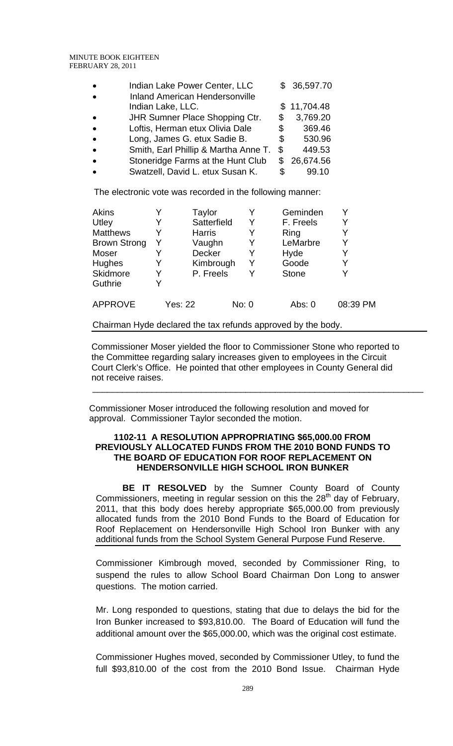| $\bullet$ | Indian Lake Power Center, LLC                              |    | \$36,597.70 |
|-----------|------------------------------------------------------------|----|-------------|
| $\bullet$ | <b>Inland American Hendersonville</b><br>Indian Lake, LLC. |    | \$11,704.48 |
| $\bullet$ | <b>JHR Sumner Place Shopping Ctr.</b>                      | S  | 3,769.20    |
| $\bullet$ | Loftis, Herman etux Olivia Dale                            | \$ | 369.46      |
| $\bullet$ | Long, James G. etux Sadie B.                               | \$ | 530.96      |
| $\bullet$ | Smith, Earl Phillip & Martha Anne T.                       | \$ | 449.53      |
| $\bullet$ | Stoneridge Farms at the Hunt Club                          |    | \$26,674.56 |
| $\bullet$ | Swatzell, David L. etux Susan K.                           | \$ | 99.10       |

The electronic vote was recorded in the following manner:

| Akins               |   | Taylor        |       |   | Geminden     |          |
|---------------------|---|---------------|-------|---|--------------|----------|
| Utley               |   | Satterfield   |       | Y | F. Freels    | Y        |
| <b>Matthews</b>     |   | <b>Harris</b> |       | Y | Ring         | Y        |
| <b>Brown Strong</b> |   | Vaughn        |       |   | LeMarbre     | Y        |
| <b>Moser</b>        |   | Decker        |       | Y | Hyde         | Y        |
| Hughes              |   | Kimbrough     |       | Y | Goode        | Y        |
| Skidmore            |   | P. Freels     |       | Y | <b>Stone</b> | Y        |
| Guthrie             | Y |               |       |   |              |          |
| <b>APPROVE</b>      |   | Yes: 22       | No: 0 |   | Abs: 0       | 08:39 PM |

Chairman Hyde declared the tax refunds approved by the body.

Commissioner Moser yielded the floor to Commissioner Stone who reported to the Committee regarding salary increases given to employees in the Circuit Court Clerk's Office.He pointed that other employees in County General did not receive raises.

\_\_\_\_\_\_\_\_\_\_\_\_\_\_\_\_\_\_\_\_\_\_\_\_\_\_\_\_\_\_\_\_\_\_\_\_\_\_\_\_\_\_\_\_\_\_\_\_\_\_\_\_\_\_\_\_\_\_\_\_\_\_\_\_\_\_\_

Commissioner Moser introduced the following resolution and moved for approval. Commissioner Taylor seconded the motion.

## **1102-11 A RESOLUTION APPROPRIATING \$65,000.00 FROM PREVIOUSLY ALLOCATED FUNDS FROM THE 2010 BOND FUNDS TO THE BOARD OF EDUCATION FOR ROOF REPLACEMENT ON HENDERSONVILLE HIGH SCHOOL IRON BUNKER**

 **BE IT RESOLVED** by the Sumner County Board of County Commissioners, meeting in regular session on this the  $28<sup>th</sup>$  day of February, 2011, that this body does hereby appropriate \$65,000.00 from previously allocated funds from the 2010 Bond Funds to the Board of Education for Roof Replacement on Hendersonville High School Iron Bunker with any additional funds from the School System General Purpose Fund Reserve.

Commissioner Kimbrough moved, seconded by Commissioner Ring, to suspend the rules to allow School Board Chairman Don Long to answer questions. The motion carried.

Mr. Long responded to questions, stating that due to delays the bid for the Iron Bunker increased to \$93,810.00. The Board of Education will fund the additional amount over the \$65,000.00, which was the original cost estimate.

Commissioner Hughes moved, seconded by Commissioner Utley, to fund the full \$93,810.00 of the cost from the 2010 Bond Issue. Chairman Hyde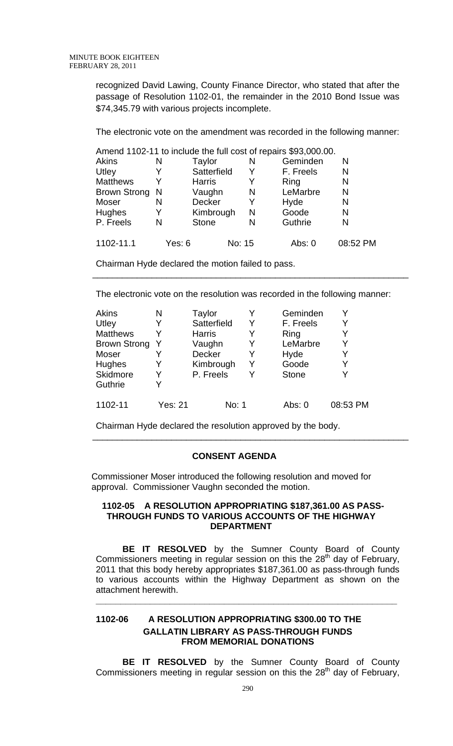recognized David Lawing, County Finance Director, who stated that after the passage of Resolution 1102-01, the remainder in the 2010 Bond Issue was \$74,345.79 with various projects incomplete.

The electronic vote on the amendment was recorded in the following manner:

|                 |        |               |        | Amend 1102-11 to include the full cost of repairs \$93,000.00. |          |
|-----------------|--------|---------------|--------|----------------------------------------------------------------|----------|
| Akins           | N      | Taylor        | N      | Geminden                                                       | N        |
| Utley           |        | Satterfield   |        | F. Freels                                                      | N        |
| <b>Matthews</b> | Y      | <b>Harris</b> | Y      | Ring                                                           | N        |
| Brown Strong N  |        | Vaughn        | N      | LeMarbre                                                       | N        |
| Moser           | N      | <b>Decker</b> | Y      | Hyde                                                           | N        |
| <b>Hughes</b>   | Y      | Kimbrough     | N      | Goode                                                          | N        |
| P. Freels       | N      | <b>Stone</b>  | N      | Guthrie                                                        | N        |
| 1102-11.1       | Yes: 6 |               | No: 15 | Abs: 0                                                         | 08:52 PM |

Chairman Hyde declared the motion failed to pass.

The electronic vote on the resolution was recorded in the following manner:

\_\_\_\_\_\_\_\_\_\_\_\_\_\_\_\_\_\_\_\_\_\_\_\_\_\_\_\_\_\_\_\_\_\_\_\_\_\_\_\_\_\_\_\_\_\_\_\_\_\_\_\_\_\_\_\_\_\_\_\_\_\_\_\_

| <b>Akins</b>        | N       | Taylor        |   | Geminden     |          |
|---------------------|---------|---------------|---|--------------|----------|
| Utley               | Y       | Satterfield   | Y | F. Freels    | Y        |
| <b>Matthews</b>     |         | <b>Harris</b> | Y | Ring         |          |
| <b>Brown Strong</b> |         | Vaughn        | Y | LeMarbre     | Y        |
| Moser               |         | Decker        | Y | Hyde         | Y        |
| Hughes              |         | Kimbrough     | Y | Goode        | Y        |
| Skidmore            |         | P. Freels     | v | <b>Stone</b> | Y        |
| Guthrie             |         |               |   |              |          |
| 1102-11             | Yes: 21 | No: 1         |   | Abs: 0       | 08:53 PM |

Chairman Hyde declared the resolution approved by the body.

## **CONSENT AGENDA**

\_\_\_\_\_\_\_\_\_\_\_\_\_\_\_\_\_\_\_\_\_\_\_\_\_\_\_\_\_\_\_\_\_\_\_\_\_\_\_\_\_\_\_\_\_\_\_\_\_\_\_\_\_\_\_\_\_\_\_\_\_\_\_\_

Commissioner Moser introduced the following resolution and moved for approval. Commissioner Vaughn seconded the motion.

#### **1102-05 A RESOLUTION APPROPRIATING \$187,361.00 AS PASS-THROUGH FUNDS TO VARIOUS ACCOUNTS OF THE HIGHWAY DEPARTMENT**

 **BE IT RESOLVED** by the Sumner County Board of County Commissioners meeting in regular session on this the 28<sup>th</sup> day of February, 2011 that this body hereby appropriates \$187,361.00 as pass-through funds to various accounts within the Highway Department as shown on the attachment herewith.

**\_\_\_\_\_\_\_\_\_\_\_\_\_\_\_\_\_\_\_\_\_\_\_\_\_\_\_\_\_\_\_\_\_\_\_\_\_\_\_\_\_\_\_\_\_\_\_\_\_\_\_\_\_\_\_\_\_\_\_\_\_**

# **1102-06 A RESOLUTION APPROPRIATING \$300.00 TO THE GALLATIN LIBRARY AS PASS-THROUGH FUNDS FROM MEMORIAL DONATIONS**

**BE IT RESOLVED** by the Sumner County Board of County Commissioners meeting in regular session on this the  $28<sup>th</sup>$  day of February,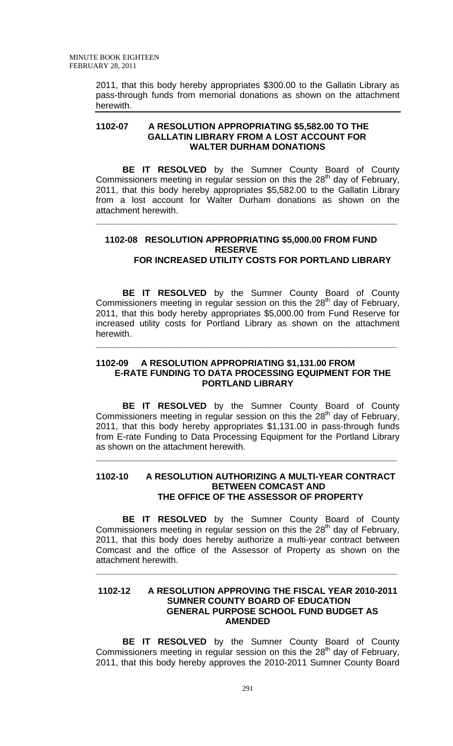2011, that this body hereby appropriates \$300.00 to the Gallatin Library as pass-through funds from memorial donations as shown on the attachment herewith.

## **1102-07 A RESOLUTION APPROPRIATING \$5,582.00 TO THE GALLATIN LIBRARY FROM A LOST ACCOUNT FOR WALTER DURHAM DONATIONS**

**BE IT RESOLVED** by the Sumner County Board of County Commissioners meeting in regular session on this the 28<sup>th</sup> day of February, 2011, that this body hereby appropriates \$5,582.00 to the Gallatin Library from a lost account for Walter Durham donations as shown on the attachment herewith.

# **1102-08 RESOLUTION APPROPRIATING \$5,000.00 FROM FUND RESERVE FOR INCREASED UTILITY COSTS FOR PORTLAND LIBRARY**

**\_\_\_\_\_\_\_\_\_\_\_\_\_\_\_\_\_\_\_\_\_\_\_\_\_\_\_\_\_\_\_\_\_\_\_\_\_\_\_\_\_\_\_\_\_\_\_\_\_\_\_\_\_\_\_\_\_\_\_\_\_**

**BE IT RESOLVED** by the Sumner County Board of County Commissioners meeting in regular session on this the 28<sup>th</sup> day of February, 2011, that this body hereby appropriates \$5,000.00 from Fund Reserve for increased utility costs for Portland Library as shown on the attachment herewith.

## **1102-09 A RESOLUTION APPROPRIATING \$1,131.00 FROM E-RATE FUNDING TO DATA PROCESSING EQUIPMENT FOR THE PORTLAND LIBRARY**

**\_\_\_\_\_\_\_\_\_\_\_\_\_\_\_\_\_\_\_\_\_\_\_\_\_\_\_\_\_\_\_\_\_\_\_\_\_\_\_\_\_\_\_\_\_\_\_\_\_\_\_\_\_\_\_\_\_\_\_\_\_**

 **BE IT RESOLVED** by the Sumner County Board of County Commissioners meeting in regular session on this the 28<sup>th</sup> day of February, 2011, that this body hereby appropriates \$1,131.00 in pass-through funds from E-rate Funding to Data Processing Equipment for the Portland Library as shown on the attachment herewith.

#### **1102-10 A RESOLUTION AUTHORIZING A MULTI-YEAR CONTRACT BETWEEN COMCAST AND THE OFFICE OF THE ASSESSOR OF PROPERTY**

**\_\_\_\_\_\_\_\_\_\_\_\_\_\_\_\_\_\_\_\_\_\_\_\_\_\_\_\_\_\_\_\_\_\_\_\_\_\_\_\_\_\_\_\_\_\_\_\_\_\_\_\_\_\_\_\_\_\_\_\_\_**

 **BE IT RESOLVED** by the Sumner County Board of County Commissioners meeting in regular session on this the 28<sup>th</sup> day of February, 2011, that this body does hereby authorize a multi-year contract between Comcast and the office of the Assessor of Property as shown on the attachment herewith.

**\_\_\_\_\_\_\_\_\_\_\_\_\_\_\_\_\_\_\_\_\_\_\_\_\_\_\_\_\_\_\_\_\_\_\_\_\_\_\_\_\_\_\_\_\_\_\_\_\_\_\_\_\_\_\_\_\_\_\_\_\_**

# **1102-12 A RESOLUTION APPROVING THE FISCAL YEAR 2010-2011 SUMNER COUNTY BOARD OF EDUCATION GENERAL PURPOSE SCHOOL FUND BUDGET AS AMENDED**

 **BE IT RESOLVED** by the Sumner County Board of County Commissioners meeting in regular session on this the  $28<sup>th</sup>$  day of February, 2011, that this body hereby approves the 2010-2011 Sumner County Board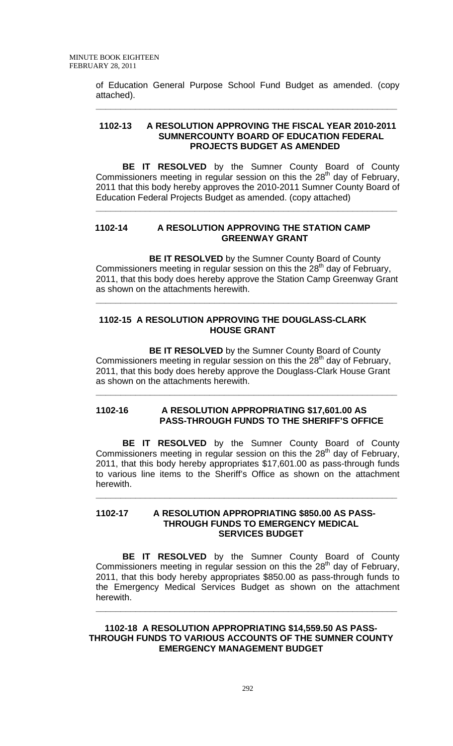of Education General Purpose School Fund Budget as amended. (copy attached).

**\_\_\_\_\_\_\_\_\_\_\_\_\_\_\_\_\_\_\_\_\_\_\_\_\_\_\_\_\_\_\_\_\_\_\_\_\_\_\_\_\_\_\_\_\_\_\_\_\_\_\_\_\_\_\_\_\_\_\_\_\_**

## **1102-13 A RESOLUTION APPROVING THE FISCAL YEAR 2010-2011 SUMNERCOUNTY BOARD OF EDUCATION FEDERAL PROJECTS BUDGET AS AMENDED**

 **BE IT RESOLVED** by the Sumner County Board of County Commissioners meeting in regular session on this the  $28<sup>th</sup>$  day of February, 2011 that this body hereby approves the 2010-2011 Sumner County Board of Education Federal Projects Budget as amended. (copy attached)

**\_\_\_\_\_\_\_\_\_\_\_\_\_\_\_\_\_\_\_\_\_\_\_\_\_\_\_\_\_\_\_\_\_\_\_\_\_\_\_\_\_\_\_\_\_\_\_\_\_\_\_\_\_\_\_\_\_\_\_\_\_**

# **1102-14 A RESOLUTION APPROVING THE STATION CAMP GREENWAY GRANT**

 **BE IT RESOLVED** by the Sumner County Board of County Commissioners meeting in regular session on this the  $28<sup>th</sup>$  day of February, 2011, that this body does hereby approve the Station Camp Greenway Grant as shown on the attachments herewith.

**\_\_\_\_\_\_\_\_\_\_\_\_\_\_\_\_\_\_\_\_\_\_\_\_\_\_\_\_\_\_\_\_\_\_\_\_\_\_\_\_\_\_\_\_\_\_\_\_\_\_\_\_\_\_\_\_\_\_\_\_\_**

## **1102-15 A RESOLUTION APPROVING THE DOUGLASS-CLARK HOUSE GRANT**

**BE IT RESOLVED** by the Sumner County Board of County Commissioners meeting in regular session on this the  $28<sup>th</sup>$  day of February, 2011, that this body does hereby approve the Douglass-Clark House Grant as shown on the attachments herewith.

**\_\_\_\_\_\_\_\_\_\_\_\_\_\_\_\_\_\_\_\_\_\_\_\_\_\_\_\_\_\_\_\_\_\_\_\_\_\_\_\_\_\_\_\_\_\_\_\_\_\_\_\_\_\_\_\_\_\_\_\_\_**

## **1102-16 A RESOLUTION APPROPRIATING \$17,601.00 AS PASS-THROUGH FUNDS TO THE SHERIFF'S OFFICE**

**BE IT RESOLVED** by the Sumner County Board of County Commissioners meeting in regular session on this the 28<sup>th</sup> day of February, 2011, that this body hereby appropriates \$17,601.00 as pass-through funds to various line items to the Sheriff's Office as shown on the attachment herewith.

**\_\_\_\_\_\_\_\_\_\_\_\_\_\_\_\_\_\_\_\_\_\_\_\_\_\_\_\_\_\_\_\_\_\_\_\_\_\_\_\_\_\_\_\_\_\_\_\_\_\_\_\_\_\_\_\_\_\_\_\_\_**

## **1102-17 A RESOLUTION APPROPRIATING \$850.00 AS PASS-THROUGH FUNDS TO EMERGENCY MEDICAL SERVICES BUDGET**

**BE IT RESOLVED** by the Sumner County Board of County Commissioners meeting in regular session on this the 28<sup>th</sup> day of February, 2011, that this body hereby appropriates \$850.00 as pass-through funds to the Emergency Medical Services Budget as shown on the attachment herewith.

**\_\_\_\_\_\_\_\_\_\_\_\_\_\_\_\_\_\_\_\_\_\_\_\_\_\_\_\_\_\_\_\_\_\_\_\_\_\_\_\_\_\_\_\_\_\_\_\_\_\_\_\_\_\_\_\_\_\_\_\_\_**

**1102-18 A RESOLUTION APPROPRIATING \$14,559.50 AS PASS-THROUGH FUNDS TO VARIOUS ACCOUNTS OF THE SUMNER COUNTY EMERGENCY MANAGEMENT BUDGET**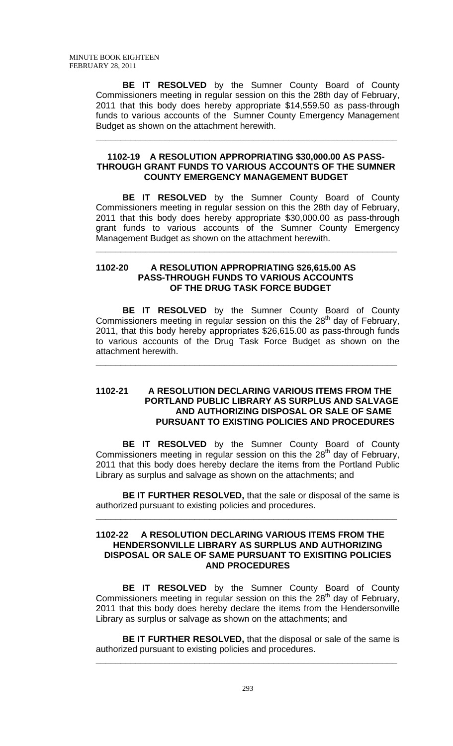**BE IT RESOLVED** by the Sumner County Board of County Commissioners meeting in regular session on this the 28th day of February, 2011 that this body does hereby appropriate \$14,559.50 as pass-through funds to various accounts of the Sumner County Emergency Management Budget as shown on the attachment herewith.

#### **1102-19 A RESOLUTION APPROPRIATING \$30,000.00 AS PASS-THROUGH GRANT FUNDS TO VARIOUS ACCOUNTS OF THE SUMNER COUNTY EMERGENCY MANAGEMENT BUDGET**

**\_\_\_\_\_\_\_\_\_\_\_\_\_\_\_\_\_\_\_\_\_\_\_\_\_\_\_\_\_\_\_\_\_\_\_\_\_\_\_\_\_\_\_\_\_\_\_\_\_\_\_\_\_\_\_\_\_\_\_\_\_**

 **BE IT RESOLVED** by the Sumner County Board of County Commissioners meeting in regular session on this the 28th day of February, 2011 that this body does hereby appropriate \$30,000.00 as pass-through grant funds to various accounts of the Sumner County Emergency Management Budget as shown on the attachment herewith.

**\_\_\_\_\_\_\_\_\_\_\_\_\_\_\_\_\_\_\_\_\_\_\_\_\_\_\_\_\_\_\_\_\_\_\_\_\_\_\_\_\_\_\_\_\_\_\_\_\_\_\_\_\_\_\_\_\_\_\_\_\_**

#### **1102-20 A RESOLUTION APPROPRIATING \$26,615.00 AS PASS-THROUGH FUNDS TO VARIOUS ACCOUNTS OF THE DRUG TASK FORCE BUDGET**

 **BE IT RESOLVED** by the Sumner County Board of County Commissioners meeting in regular session on this the  $28<sup>th</sup>$  day of February, 2011, that this body hereby appropriates \$26,615.00 as pass-through funds to various accounts of the Drug Task Force Budget as shown on the attachment herewith.

**\_\_\_\_\_\_\_\_\_\_\_\_\_\_\_\_\_\_\_\_\_\_\_\_\_\_\_\_\_\_\_\_\_\_\_\_\_\_\_\_\_\_\_\_\_\_\_\_\_\_\_\_\_\_\_\_\_\_\_\_\_**

### **1102-21 A RESOLUTION DECLARING VARIOUS ITEMS FROM THE PORTLAND PUBLIC LIBRARY AS SURPLUS AND SALVAGE AND AUTHORIZING DISPOSAL OR SALE OF SAME PURSUANT TO EXISTING POLICIES AND PROCEDURES**

 **BE IT RESOLVED** by the Sumner County Board of County Commissioners meeting in regular session on this the 28<sup>th</sup> day of February, 2011 that this body does hereby declare the items from the Portland Public Library as surplus and salvage as shown on the attachments; and

**BE IT FURTHER RESOLVED,** that the sale or disposal of the same is authorized pursuant to existing policies and procedures.

**\_\_\_\_\_\_\_\_\_\_\_\_\_\_\_\_\_\_\_\_\_\_\_\_\_\_\_\_\_\_\_\_\_\_\_\_\_\_\_\_\_\_\_\_\_\_\_\_\_\_\_\_\_\_\_\_\_\_\_\_\_**

#### **1102-22 A RESOLUTION DECLARING VARIOUS ITEMS FROM THE HENDERSONVILLE LIBRARY AS SURPLUS AND AUTHORIZING DISPOSAL OR SALE OF SAME PURSUANT TO EXISITING POLICIES AND PROCEDURES**

 **BE IT RESOLVED** by the Sumner County Board of County Commissioners meeting in regular session on this the 28<sup>th</sup> day of February, 2011 that this body does hereby declare the items from the Hendersonville Library as surplus or salvage as shown on the attachments; and

**BE IT FURTHER RESOLVED,** that the disposal or sale of the same is authorized pursuant to existing policies and procedures.

**\_\_\_\_\_\_\_\_\_\_\_\_\_\_\_\_\_\_\_\_\_\_\_\_\_\_\_\_\_\_\_\_\_\_\_\_\_\_\_\_\_\_\_\_\_\_\_\_\_\_\_\_\_\_\_\_\_\_\_\_\_**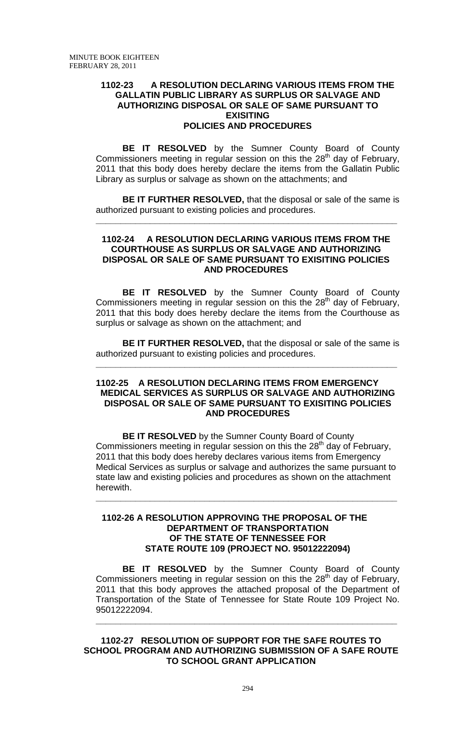## **1102-23 A RESOLUTION DECLARING VARIOUS ITEMS FROM THE GALLATIN PUBLIC LIBRARY AS SURPLUS OR SALVAGE AND AUTHORIZING DISPOSAL OR SALE OF SAME PURSUANT TO EXISITING POLICIES AND PROCEDURES**

 **BE IT RESOLVED** by the Sumner County Board of County Commissioners meeting in regular session on this the  $28<sup>th</sup>$  day of February, 2011 that this body does hereby declare the items from the Gallatin Public Library as surplus or salvage as shown on the attachments; and

**BE IT FURTHER RESOLVED,** that the disposal or sale of the same is authorized pursuant to existing policies and procedures.

**\_\_\_\_\_\_\_\_\_\_\_\_\_\_\_\_\_\_\_\_\_\_\_\_\_\_\_\_\_\_\_\_\_\_\_\_\_\_\_\_\_\_\_\_\_\_\_\_\_\_\_\_\_\_\_\_\_\_\_\_\_**

## **1102-24 A RESOLUTION DECLARING VARIOUS ITEMS FROM THE COURTHOUSE AS SURPLUS OR SALVAGE AND AUTHORIZING DISPOSAL OR SALE OF SAME PURSUANT TO EXISITING POLICIES AND PROCEDURES**

 **BE IT RESOLVED** by the Sumner County Board of County Commissioners meeting in regular session on this the 28<sup>th</sup> day of February, 2011 that this body does hereby declare the items from the Courthouse as surplus or salvage as shown on the attachment; and

**BE IT FURTHER RESOLVED,** that the disposal or sale of the same is authorized pursuant to existing policies and procedures.

**\_\_\_\_\_\_\_\_\_\_\_\_\_\_\_\_\_\_\_\_\_\_\_\_\_\_\_\_\_\_\_\_\_\_\_\_\_\_\_\_\_\_\_\_\_\_\_\_\_\_\_\_\_\_\_\_\_\_\_\_\_**

## **1102-25 A RESOLUTION DECLARING ITEMS FROM EMERGENCY MEDICAL SERVICES AS SURPLUS OR SALVAGE AND AUTHORIZING DISPOSAL OR SALE OF SAME PURSUANT TO EXISITING POLICIES AND PROCEDURES**

 **BE IT RESOLVED** by the Sumner County Board of County Commissioners meeting in regular session on this the  $28<sup>th</sup>$  day of February, 2011 that this body does hereby declares various items from Emergency Medical Services as surplus or salvage and authorizes the same pursuant to state law and existing policies and procedures as shown on the attachment herewith.

**\_\_\_\_\_\_\_\_\_\_\_\_\_\_\_\_\_\_\_\_\_\_\_\_\_\_\_\_\_\_\_\_\_\_\_\_\_\_\_\_\_\_\_\_\_\_\_\_\_\_\_\_\_\_\_\_\_\_\_\_\_**

## **1102-26 A RESOLUTION APPROVING THE PROPOSAL OF THE DEPARTMENT OF TRANSPORTATION OF THE STATE OF TENNESSEE FOR STATE ROUTE 109 (PROJECT NO. 95012222094)**

**BE IT RESOLVED** by the Sumner County Board of County Commissioners meeting in regular session on this the  $28<sup>th</sup>$  day of February, 2011 that this body approves the attached proposal of the Department of Transportation of the State of Tennessee for State Route 109 Project No. 95012222094.

**\_\_\_\_\_\_\_\_\_\_\_\_\_\_\_\_\_\_\_\_\_\_\_\_\_\_\_\_\_\_\_\_\_\_\_\_\_\_\_\_\_\_\_\_\_\_\_\_\_\_\_\_\_\_\_\_\_\_\_\_\_**

**1102-27 RESOLUTION OF SUPPORT FOR THE SAFE ROUTES TO SCHOOL PROGRAM AND AUTHORIZING SUBMISSION OF A SAFE ROUTE TO SCHOOL GRANT APPLICATION**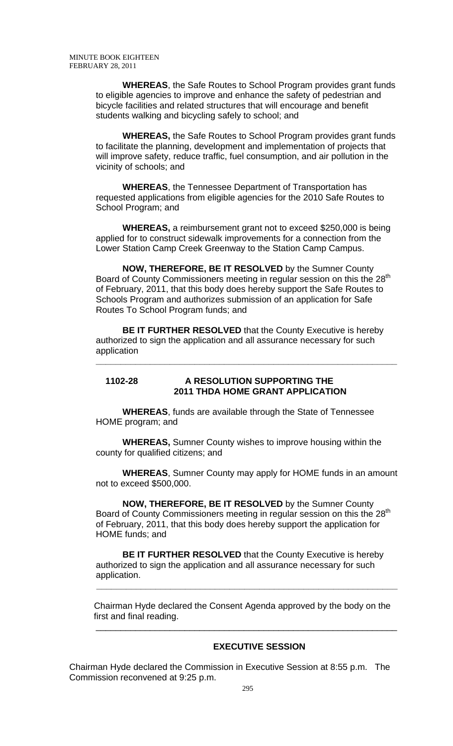**WHEREAS**, the Safe Routes to School Program provides grant funds to eligible agencies to improve and enhance the safety of pedestrian and bicycle facilities and related structures that will encourage and benefit students walking and bicycling safely to school; and

**WHEREAS,** the Safe Routes to School Program provides grant funds to facilitate the planning, development and implementation of projects that will improve safety, reduce traffic, fuel consumption, and air pollution in the vicinity of schools; and

**WHEREAS**, the Tennessee Department of Transportation has requested applications from eligible agencies for the 2010 Safe Routes to School Program; and

**WHEREAS,** a reimbursement grant not to exceed \$250,000 is being applied for to construct sidewalk improvements for a connection from the Lower Station Camp Creek Greenway to the Station Camp Campus.

**NOW, THEREFORE, BE IT RESOLVED** by the Sumner County Board of County Commissioners meeting in regular session on this the 28<sup>th</sup> of February, 2011, that this body does hereby support the Safe Routes to Schools Program and authorizes submission of an application for Safe Routes To School Program funds; and

**BE IT FURTHER RESOLVED** that the County Executive is hereby authorized to sign the application and all assurance necessary for such application **\_\_\_\_\_\_\_\_\_\_\_\_\_\_\_\_\_\_\_\_\_\_\_\_\_\_\_\_\_\_\_\_\_\_\_\_\_\_\_\_\_\_\_\_\_\_\_\_\_\_\_\_\_\_\_\_\_\_\_\_\_**

## **1102-28 A RESOLUTION SUPPORTING THE 2011 THDA HOME GRANT APPLICATION**

**WHEREAS**, funds are available through the State of Tennessee HOME program; and

**WHEREAS,** Sumner County wishes to improve housing within the county for qualified citizens; and

**WHEREAS**, Sumner County may apply for HOME funds in an amount not to exceed \$500,000.

**NOW, THEREFORE, BE IT RESOLVED** by the Sumner County Board of County Commissioners meeting in regular session on this the 28<sup>th</sup> of February, 2011, that this body does hereby support the application for HOME funds; and

**BE IT FURTHER RESOLVED** that the County Executive is hereby authorized to sign the application and all assurance necessary for such application.

 **\_\_\_\_\_\_\_\_\_\_\_\_\_\_\_\_\_\_\_\_\_\_\_\_\_\_\_\_\_\_\_\_\_\_\_\_\_\_\_\_\_\_\_\_\_\_\_\_\_\_\_\_\_\_\_\_\_\_\_\_\_** 

 $\frac{1}{2}$  ,  $\frac{1}{2}$  ,  $\frac{1}{2}$  ,  $\frac{1}{2}$  ,  $\frac{1}{2}$  ,  $\frac{1}{2}$  ,  $\frac{1}{2}$  ,  $\frac{1}{2}$  ,  $\frac{1}{2}$  ,  $\frac{1}{2}$  ,  $\frac{1}{2}$  ,  $\frac{1}{2}$  ,  $\frac{1}{2}$  ,  $\frac{1}{2}$  ,  $\frac{1}{2}$  ,  $\frac{1}{2}$  ,  $\frac{1}{2}$  ,  $\frac{1}{2}$  ,  $\frac{1$ 

 Chairman Hyde declared the Consent Agenda approved by the body on the first and final reading.

## **EXECUTIVE SESSION**

Chairman Hyde declared the Commission in Executive Session at 8:55 p.m. The Commission reconvened at 9:25 p.m.